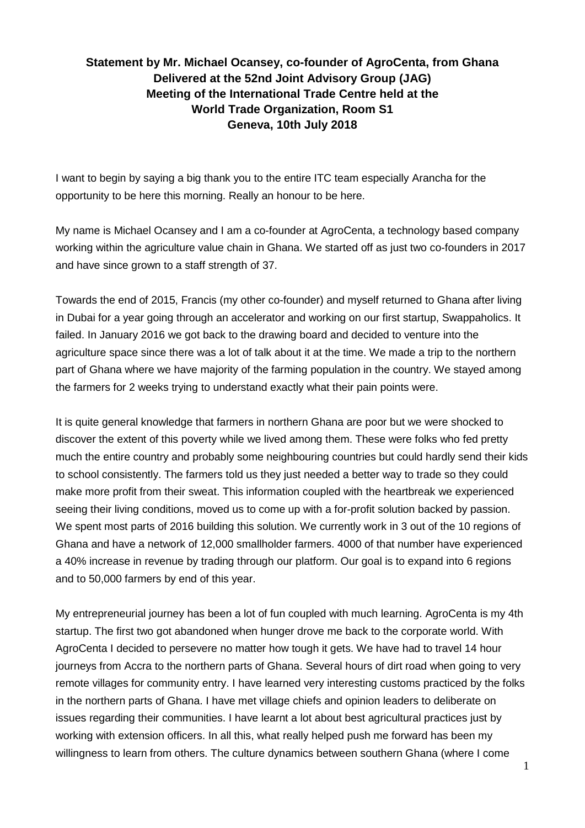## **Statement by Mr. Michael Ocansey, co-founder of AgroCenta, from Ghana Delivered at the 52nd Joint Advisory Group (JAG) Meeting of the International Trade Centre held at the World Trade Organization, Room S1 Geneva, 10th July 2018**

I want to begin by saying a big thank you to the entire ITC team especially Arancha for the opportunity to be here this morning. Really an honour to be here.

My name is Michael Ocansey and I am a co-founder at AgroCenta, a technology based company working within the agriculture value chain in Ghana. We started off as just two co-founders in 2017 and have since grown to a staff strength of 37.

Towards the end of 2015, Francis (my other co-founder) and myself returned to Ghana after living in Dubai for a year going through an accelerator and working on our first startup, Swappaholics. It failed. In January 2016 we got back to the drawing board and decided to venture into the agriculture space since there was a lot of talk about it at the time. We made a trip to the northern part of Ghana where we have majority of the farming population in the country. We stayed among the farmers for 2 weeks trying to understand exactly what their pain points were.

It is quite general knowledge that farmers in northern Ghana are poor but we were shocked to discover the extent of this poverty while we lived among them. These were folks who fed pretty much the entire country and probably some neighbouring countries but could hardly send their kids to school consistently. The farmers told us they just needed a better way to trade so they could make more profit from their sweat. This information coupled with the heartbreak we experienced seeing their living conditions, moved us to come up with a for-profit solution backed by passion. We spent most parts of 2016 building this solution. We currently work in 3 out of the 10 regions of Ghana and have a network of 12,000 smallholder farmers. 4000 of that number have experienced a 40% increase in revenue by trading through our platform. Our goal is to expand into 6 regions and to 50,000 farmers by end of this year.

My entrepreneurial journey has been a lot of fun coupled with much learning. AgroCenta is my 4th startup. The first two got abandoned when hunger drove me back to the corporate world. With AgroCenta I decided to persevere no matter how tough it gets. We have had to travel 14 hour journeys from Accra to the northern parts of Ghana. Several hours of dirt road when going to very remote villages for community entry. I have learned very interesting customs practiced by the folks in the northern parts of Ghana. I have met village chiefs and opinion leaders to deliberate on issues regarding their communities. I have learnt a lot about best agricultural practices just by working with extension officers. In all this, what really helped push me forward has been my willingness to learn from others. The culture dynamics between southern Ghana (where I come